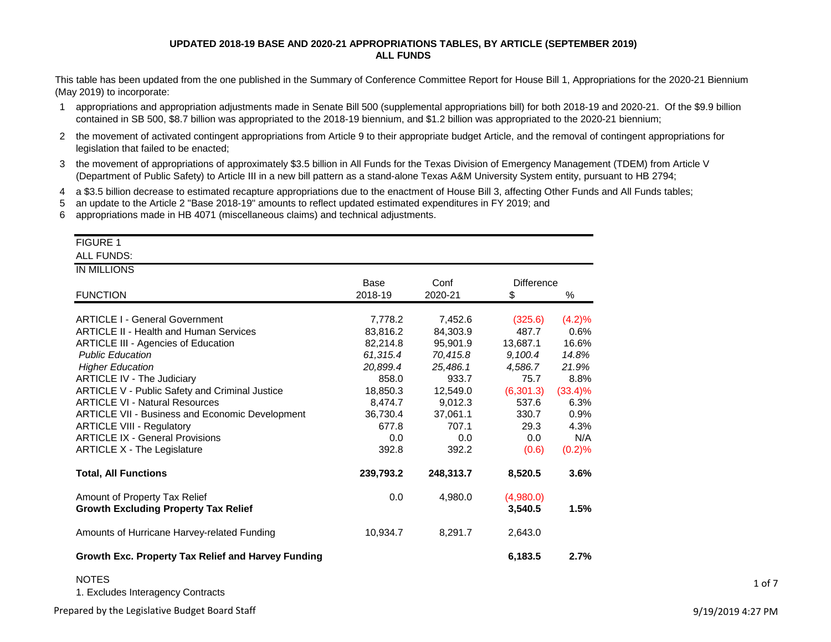## **UPDATED 2018-19 BASE AND 2020-21 APPROPRIATIONS TABLES, BY ARTICLE (SEPTEMBER 2019)ALL FUNDS**

This table has been updated from the one published in the Summary of Conference Committee Report for House Bill 1, Appropriations for the 2020-21 Biennium (May 2019) to incorporate:

- 1appropriations and appropriation adjustments made in Senate Bill 500 (supplemental appropriations bill) for both 2018-19 and 2020-21. Of the \$9.9 billion contained in SB 500, \$8.7 billion was appropriated to the 2018-19 biennium, and \$1.2 billion was appropriated to the 2020-21 biennium;
- 2 the movement of activated contingent appropriations from Article 9 to their appropriate budget Article, and the removal of contingent appropriations for legislation that failed to be enacted;
- 3 the movement of appropriations of approximately \$3.5 billion in All Funds for the Texas Division of Emergency Management (TDEM) from Article V (Department of Public Safety) to Article III in a new bill pattern as a stand-alone Texas A&M University System entity, pursuant to HB 2794;
- 4a \$3.5 billion decrease to estimated recapture appropriations due to the enactment of House Bill 3, affecting Other Funds and All Funds tables;
- 5an update to the Article 2 "Base 2018-19" amounts to reflect updated estimated expenditures in FY 2019; and
- 6appropriations made in HB 4071 (miscellaneous claims) and technical adjustments.

| <b>FIGURE 1</b>                                                              |           |           |                      |            |
|------------------------------------------------------------------------------|-----------|-----------|----------------------|------------|
| <b>ALL FUNDS:</b>                                                            |           |           |                      |            |
| <b>IN MILLIONS</b>                                                           |           |           |                      |            |
|                                                                              | Base      | Conf      | <b>Difference</b>    |            |
| <b>FUNCTION</b>                                                              | 2018-19   | 2020-21   | \$                   | $\%$       |
|                                                                              |           |           |                      |            |
| <b>ARTICLE I - General Government</b>                                        | 7,778.2   | 7,452.6   | (325.6)              | (4.2)%     |
| <b>ARTICLE II - Health and Human Services</b>                                | 83,816.2  | 84,303.9  | 487.7                | 0.6%       |
| <b>ARTICLE III - Agencies of Education</b>                                   | 82,214.8  | 95,901.9  | 13,687.1             | 16.6%      |
| <b>Public Education</b>                                                      | 61,315.4  | 70,415.8  | 9,100.4              | 14.8%      |
| <b>Higher Education</b>                                                      | 20,899.4  | 25,486.1  | 4,586.7              | 21.9%      |
| <b>ARTICLE IV - The Judiciary</b>                                            | 858.0     | 933.7     | 75.7                 | 8.8%       |
| ARTICLE V - Public Safety and Criminal Justice                               | 18,850.3  | 12,549.0  | (6,301.3)            | $(33.4)\%$ |
| <b>ARTICLE VI - Natural Resources</b>                                        | 8,474.7   | 9,012.3   | 537.6                | 6.3%       |
| ARTICLE VII - Business and Economic Development                              | 36,730.4  | 37,061.1  | 330.7                | 0.9%       |
| <b>ARTICLE VIII - Regulatory</b>                                             | 677.8     | 707.1     | 29.3                 | 4.3%       |
| <b>ARTICLE IX - General Provisions</b>                                       | 0.0       | 0.0       | 0.0                  | N/A        |
| <b>ARTICLE X - The Legislature</b>                                           | 392.8     | 392.2     | (0.6)                | (0.2)%     |
| <b>Total, All Functions</b>                                                  | 239,793.2 | 248,313.7 | 8,520.5              | 3.6%       |
| Amount of Property Tax Relief<br><b>Growth Excluding Property Tax Relief</b> | 0.0       | 4,980.0   | (4,980.0)<br>3,540.5 | 1.5%       |
| Amounts of Hurricane Harvey-related Funding                                  | 10,934.7  | 8,291.7   | 2,643.0              |            |
| Growth Exc. Property Tax Relief and Harvey Funding                           |           |           | 6,183.5              | 2.7%       |
| <b>NOTES</b><br>1. Excludes Interagency Contracts                            |           |           |                      |            |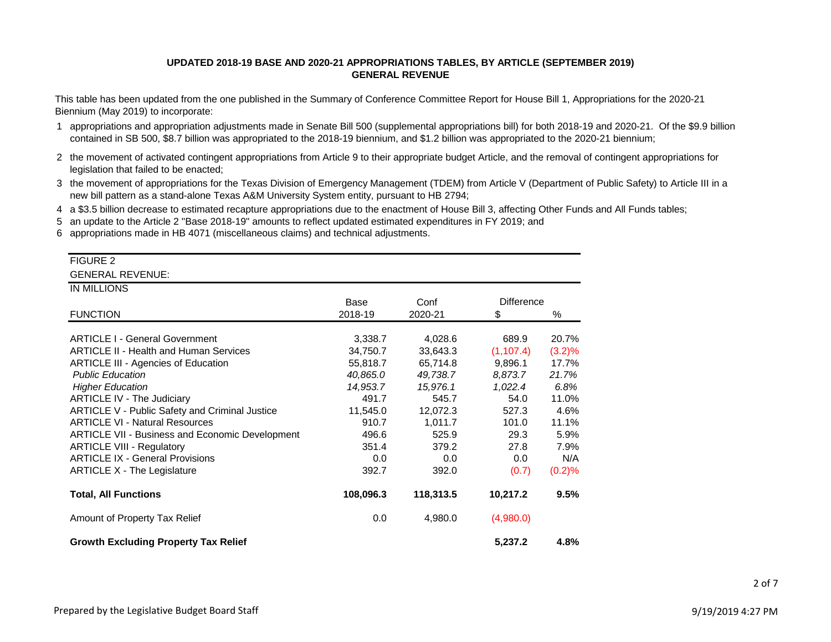# **UPDATED 2018-19 BASE AND 2020-21 APPROPRIATIONS TABLES, BY ARTICLE (SEPTEMBER 2019)GENERAL REVENUE**

This table has been updated from the one published in the Summary of Conference Committee Report for House Bill 1, Appropriations for the 2020-21 Biennium (May 2019) to incorporate:

- 1appropriations and appropriation adjustments made in Senate Bill 500 (supplemental appropriations bill) for both 2018-19 and 2020-21. Of the \$9.9 billion contained in SB 500, \$8.7 billion was appropriated to the 2018-19 biennium, and \$1.2 billion was appropriated to the 2020-21 biennium;
- 2 the movement of activated contingent appropriations from Article 9 to their appropriate budget Article, and the removal of contingent appropriations for legislation that failed to be enacted;
- 3the movement of appropriations for the Texas Division of Emergency Management (TDEM) from Article V (Department of Public Safety) to Article III in a new bill pattern as a stand-alone Texas A&M University System entity, pursuant to HB 2794;
- 4a \$3.5 billion decrease to estimated recapture appropriations due to the enactment of House Bill 3, affecting Other Funds and All Funds tables;
- 5an update to the Article 2 "Base 2018-19" amounts to reflect updated estimated expenditures in FY 2019; and
- 6 appropriations made in HB 4071 (miscellaneous claims) and technical adjustments.

# FIGURE 2

#### GENERAL REVENUE:

 $I<sub>N</sub>$  MILLIONS

| <b>IN MILLIUNS</b>                                     |           |           |                   |           |
|--------------------------------------------------------|-----------|-----------|-------------------|-----------|
|                                                        | Base      | Conf      | <b>Difference</b> |           |
| <b>FUNCTION</b>                                        | 2018-19   | 2020-21   | \$                | ℅         |
|                                                        |           |           |                   |           |
| <b>ARTICLE I - General Government</b>                  | 3,338.7   | 4,028.6   | 689.9             | 20.7%     |
| <b>ARTICLE II - Health and Human Services</b>          | 34,750.7  | 33,643.3  | (1, 107.4)        | $(3.2)\%$ |
| <b>ARTICLE III - Agencies of Education</b>             | 55,818.7  | 65,714.8  | 9,896.1           | 17.7%     |
| <b>Public Education</b>                                | 40,865.0  | 49,738.7  | 8.873.7           | 21.7%     |
| <b>Higher Education</b>                                | 14,953.7  | 15,976.1  | 1,022.4           | 6.8%      |
| <b>ARTICLE IV - The Judiciary</b>                      | 491.7     | 545.7     | 54.0              | 11.0%     |
| ARTICLE V - Public Safety and Criminal Justice         | 11,545.0  | 12,072.3  | 527.3             | 4.6%      |
| <b>ARTICLE VI - Natural Resources</b>                  | 910.7     | 1,011.7   | 101.0             | 11.1%     |
| <b>ARTICLE VII - Business and Economic Development</b> | 496.6     | 525.9     | 29.3              | 5.9%      |
| <b>ARTICLE VIII - Regulatory</b>                       | 351.4     | 379.2     | 27.8              | 7.9%      |
| <b>ARTICLE IX - General Provisions</b>                 | 0.0       | 0.0       | 0.0               | N/A       |
| ARTICLE X - The Legislature                            | 392.7     | 392.0     | (0.7)             | (0.2)%    |
| <b>Total, All Functions</b>                            | 108,096.3 | 118,313.5 | 10,217.2          | 9.5%      |
| Amount of Property Tax Relief                          | 0.0       | 4,980.0   | (4,980.0)         |           |
| <b>Growth Excluding Property Tax Relief</b>            |           |           | 5,237.2           | 4.8%      |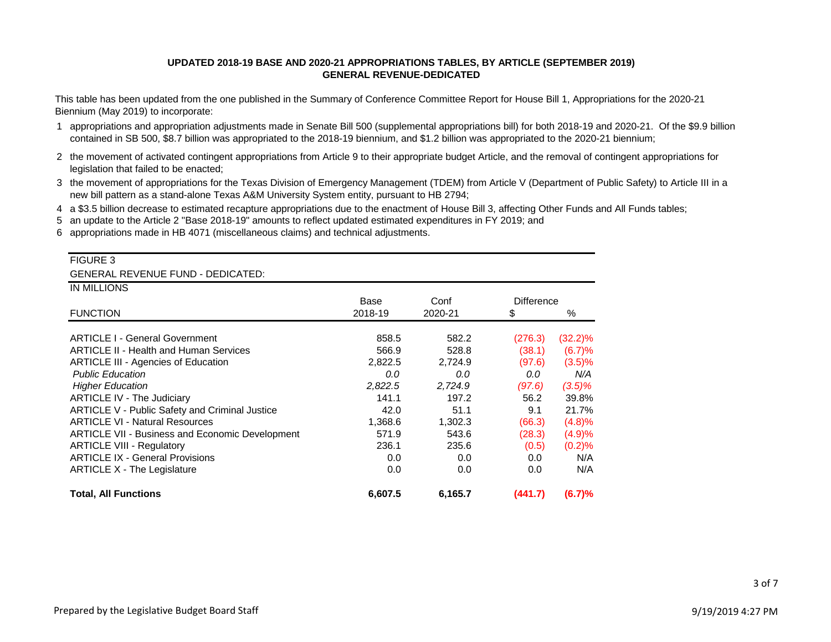# **UPDATED 2018-19 BASE AND 2020-21 APPROPRIATIONS TABLES, BY ARTICLE (SEPTEMBER 2019)GENERAL REVENUE-DEDICATED**

This table has been updated from the one published in the Summary of Conference Committee Report for House Bill 1, Appropriations for the 2020-21 Biennium (May 2019) to incorporate:

- 1appropriations and appropriation adjustments made in Senate Bill 500 (supplemental appropriations bill) for both 2018-19 and 2020-21. Of the \$9.9 billion contained in SB 500, \$8.7 billion was appropriated to the 2018-19 biennium, and \$1.2 billion was appropriated to the 2020-21 biennium;
- 2 the movement of activated contingent appropriations from Article 9 to their appropriate budget Article, and the removal of contingent appropriations for legislation that failed to be enacted;
- 3the movement of appropriations for the Texas Division of Emergency Management (TDEM) from Article V (Department of Public Safety) to Article III in a new bill pattern as a stand-alone Texas A&M University System entity, pursuant to HB 2794;

4a \$3.5 billion decrease to estimated recapture appropriations due to the enactment of House Bill 3, affecting Other Funds and All Funds tables;

5an update to the Article 2 "Base 2018-19" amounts to reflect updated estimated expenditures in FY 2019; and

6 appropriations made in HB 4071 (miscellaneous claims) and technical adjustments.

# FIGURE 3

IN MILLIONS GENERAL REVENUE FUND - DEDICATED:

| <b>UN IVILLLIUINO</b>                                  |         |         |                   |            |
|--------------------------------------------------------|---------|---------|-------------------|------------|
|                                                        | Base    | Conf    | <b>Difference</b> |            |
| <b>FUNCTION</b>                                        | 2018-19 | 2020-21 | \$                | %          |
|                                                        |         |         |                   |            |
| <b>ARTICLE I - General Government</b>                  | 858.5   | 582.2   | (276.3)           | $(32.2)\%$ |
| <b>ARTICLE II - Health and Human Services</b>          | 566.9   | 528.8   | (38.1)            | (6.7)%     |
| <b>ARTICLE III - Agencies of Education</b>             | 2,822.5 | 2,724.9 | (97.6)            | (3.5)%     |
| <b>Public Education</b>                                | 0.0     | 0.0     | 0.0               | N/A        |
| <b>Higher Education</b>                                | 2,822.5 | 2,724.9 | (97.6)            | $(3.5)\%$  |
| <b>ARTICLE IV - The Judiciary</b>                      | 141.1   | 197.2   | 56.2              | 39.8%      |
| ARTICLE V - Public Safety and Criminal Justice         | 42.0    | 51.1    | 9.1               | 21.7%      |
| <b>ARTICLE VI - Natural Resources</b>                  | 1,368.6 | 1,302.3 | (66.3)            | (4.8)%     |
| <b>ARTICLE VII - Business and Economic Development</b> | 571.9   | 543.6   | (28.3)            | (4.9)%     |
| <b>ARTICLE VIII - Regulatory</b>                       | 236.1   | 235.6   | (0.5)             | (0.2)%     |
| <b>ARTICLE IX - General Provisions</b>                 | 0.0     | 0.0     | 0.0               | N/A        |
| ARTICLE X - The Legislature                            | 0.0     | 0.0     | 0.0               | N/A        |
| <b>Total, All Functions</b>                            | 6,607.5 | 6,165.7 | (441.7)           | (6.7)%     |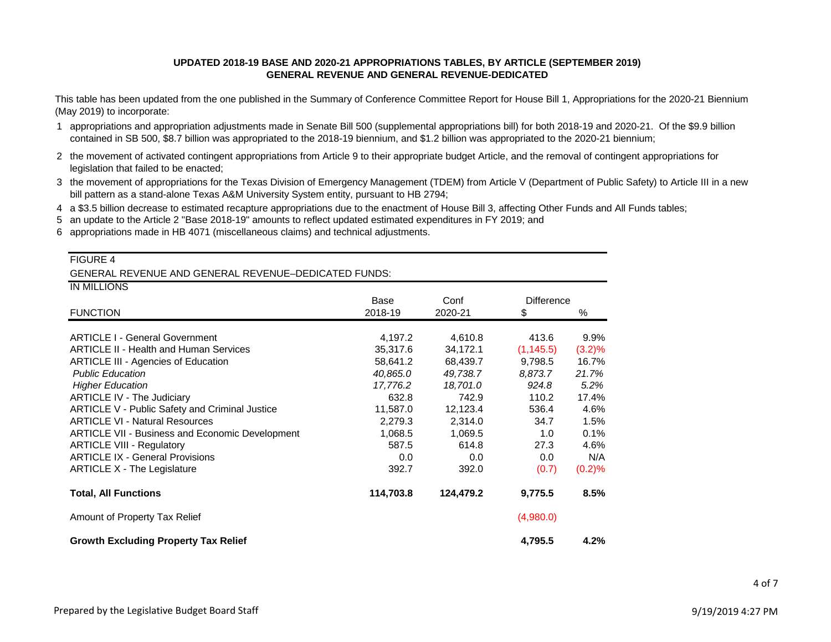# **UPDATED 2018-19 BASE AND 2020-21 APPROPRIATIONS TABLES, BY ARTICLE (SEPTEMBER 2019)GENERAL REVENUE AND GENERAL REVENUE-DEDICATED**

This table has been updated from the one published in the Summary of Conference Committee Report for House Bill 1, Appropriations for the 2020-21 Biennium (May 2019) to incorporate:

- 1appropriations and appropriation adjustments made in Senate Bill 500 (supplemental appropriations bill) for both 2018-19 and 2020-21. Of the \$9.9 billion contained in SB 500, \$8.7 billion was appropriated to the 2018-19 biennium, and \$1.2 billion was appropriated to the 2020-21 biennium;
- 2 the movement of activated contingent appropriations from Article 9 to their appropriate budget Article, and the removal of contingent appropriations for legislation that failed to be enacted;
- 3  $\,$  the movement of appropriations for the Texas Division of Emergency Management (TDEM) from Article V (Department of Public Safety) to Article III in a new bill pattern as a stand-alone Texas A&M University System entity, pursuant to HB 2794;
- 4a \$3.5 billion decrease to estimated recapture appropriations due to the enactment of House Bill 3, affecting Other Funds and All Funds tables;
- 5an update to the Article 2 "Base 2018-19" amounts to reflect updated estimated expenditures in FY 2019; and
- 6 appropriations made in HB 4071 (miscellaneous claims) and technical adjustments.

#### FIGURE 4

GENERAL REVENUE AND GENERAL REVENUE–DEDICATED FUNDS:

| IN MILLIONS                                            |           |           |                   |        |
|--------------------------------------------------------|-----------|-----------|-------------------|--------|
|                                                        | Base      | Conf      | <b>Difference</b> |        |
| <b>FUNCTION</b>                                        | 2018-19   | 2020-21   | \$                | %      |
|                                                        |           |           |                   |        |
| <b>ARTICLE I - General Government</b>                  | 4,197.2   | 4,610.8   | 413.6             | 9.9%   |
| <b>ARTICLE II - Health and Human Services</b>          | 35,317.6  | 34,172.1  | (1, 145.5)        | (3.2)% |
| <b>ARTICLE III - Agencies of Education</b>             | 58,641.2  | 68,439.7  | 9,798.5           | 16.7%  |
| <b>Public Education</b>                                | 40,865.0  | 49,738.7  | 8.873.7           | 21.7%  |
| <b>Higher Education</b>                                | 17,776.2  | 18,701.0  | 924.8             | 5.2%   |
| <b>ARTICLE IV - The Judiciary</b>                      | 632.8     | 742.9     | 110.2             | 17.4%  |
| ARTICLE V - Public Safety and Criminal Justice         | 11,587.0  | 12,123.4  | 536.4             | 4.6%   |
| <b>ARTICLE VI - Natural Resources</b>                  | 2,279.3   | 2,314.0   | 34.7              | 1.5%   |
| <b>ARTICLE VII - Business and Economic Development</b> | 1,068.5   | 1,069.5   | 1.0               | 0.1%   |
| <b>ARTICLE VIII - Regulatory</b>                       | 587.5     | 614.8     | 27.3              | 4.6%   |
| <b>ARTICLE IX - General Provisions</b>                 | 0.0       | 0.0       | 0.0               | N/A    |
| <b>ARTICLE X - The Legislature</b>                     | 392.7     | 392.0     | (0.7)             | (0.2)% |
| <b>Total, All Functions</b>                            | 114,703.8 | 124,479.2 | 9,775.5           | 8.5%   |
| Amount of Property Tax Relief                          |           |           | (4,980.0)         |        |
| <b>Growth Excluding Property Tax Relief</b>            |           |           | 4,795.5           | 4.2%   |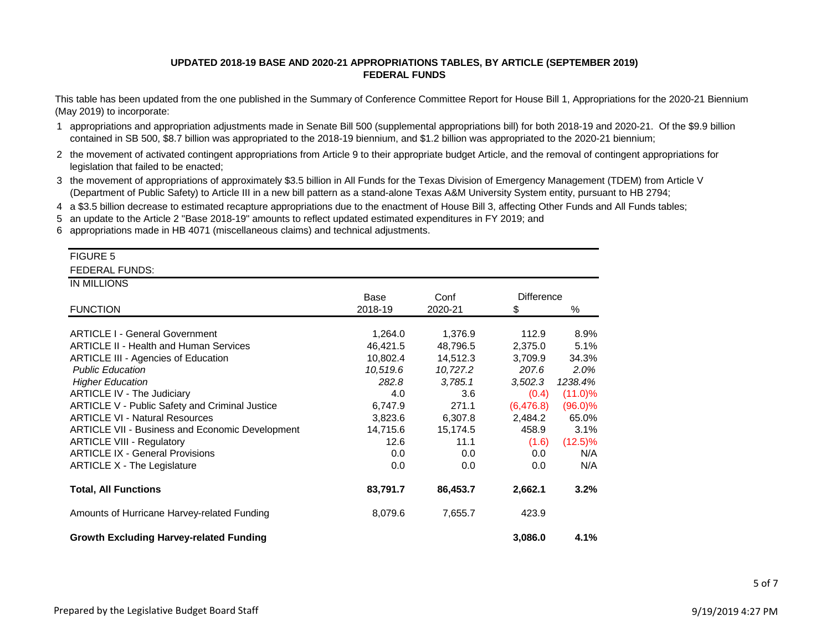# **UPDATED 2018-19 BASE AND 2020-21 APPROPRIATIONS TABLES, BY ARTICLE (SEPTEMBER 2019)FEDERAL FUNDS**

This table has been updated from the one published in the Summary of Conference Committee Report for House Bill 1, Appropriations for the 2020-21 Biennium (May 2019) to incorporate:

- 1appropriations and appropriation adjustments made in Senate Bill 500 (supplemental appropriations bill) for both 2018-19 and 2020-21. Of the \$9.9 billion contained in SB 500, \$8.7 billion was appropriated to the 2018-19 biennium, and \$1.2 billion was appropriated to the 2020-21 biennium;
- 2 the movement of activated contingent appropriations from Article 9 to their appropriate budget Article, and the removal of contingent appropriations for legislation that failed to be enacted;
- 3the movement of appropriations of approximately \$3.5 billion in All Funds for the Texas Division of Emergency Management (TDEM) from Article V (Department of Public Safety) to Article III in a new bill pattern as a stand-alone Texas A&M University System entity, pursuant to HB 2794;
- 4a \$3.5 billion decrease to estimated recapture appropriations due to the enactment of House Bill 3, affecting Other Funds and All Funds tables;
- 5an update to the Article 2 "Base 2018-19" amounts to reflect updated estimated expenditures in FY 2019; and
- 6 appropriations made in HB 4071 (miscellaneous claims) and technical adjustments.

# FIGURE 5

# FEDERAL FUNDS:

| FELERAL FUNDS.                                  |          |          |                   |            |
|-------------------------------------------------|----------|----------|-------------------|------------|
| IN MILLIONS                                     |          |          |                   |            |
|                                                 | Base     | Conf     | <b>Difference</b> |            |
| <b>FUNCTION</b>                                 | 2018-19  | 2020-21  | \$                | %          |
|                                                 |          |          |                   |            |
| <b>ARTICLE I - General Government</b>           | 1,264.0  | 1,376.9  | 112.9             | 8.9%       |
| <b>ARTICLE II - Health and Human Services</b>   | 46,421.5 | 48,796.5 | 2,375.0           | 5.1%       |
| <b>ARTICLE III - Agencies of Education</b>      | 10,802.4 | 14,512.3 | 3.709.9           | 34.3%      |
| <b>Public Education</b>                         | 10,519.6 | 10,727.2 | 207.6             | 2.0%       |
| <b>Higher Education</b>                         | 282.8    | 3,785.1  | 3,502.3           | 1238.4%    |
| <b>ARTICLE IV - The Judiciary</b>               | 4.0      | 3.6      | (0.4)             | $(11.0)\%$ |
| ARTICLE V - Public Safety and Criminal Justice  | 6,747.9  | 271.1    | (6,476.8)         | $(96.0)\%$ |
| <b>ARTICLE VI - Natural Resources</b>           | 3,823.6  | 6,307.8  | 2,484.2           | 65.0%      |
| ARTICLE VII - Business and Economic Development | 14,715.6 | 15,174.5 | 458.9             | 3.1%       |
| <b>ARTICLE VIII - Regulatory</b>                | 12.6     | 11.1     | (1.6)             | $(12.5)\%$ |
| <b>ARTICLE IX - General Provisions</b>          | 0.0      | 0.0      | 0.0               | N/A        |
| ARTICLE X - The Legislature                     | 0.0      | 0.0      | 0.0               | N/A        |
| <b>Total, All Functions</b>                     | 83,791.7 | 86,453.7 | 2,662.1           | 3.2%       |
| Amounts of Hurricane Harvey-related Funding     | 8,079.6  | 7,655.7  | 423.9             |            |
| <b>Growth Excluding Harvey-related Funding</b>  |          |          | 3,086.0           | 4.1%       |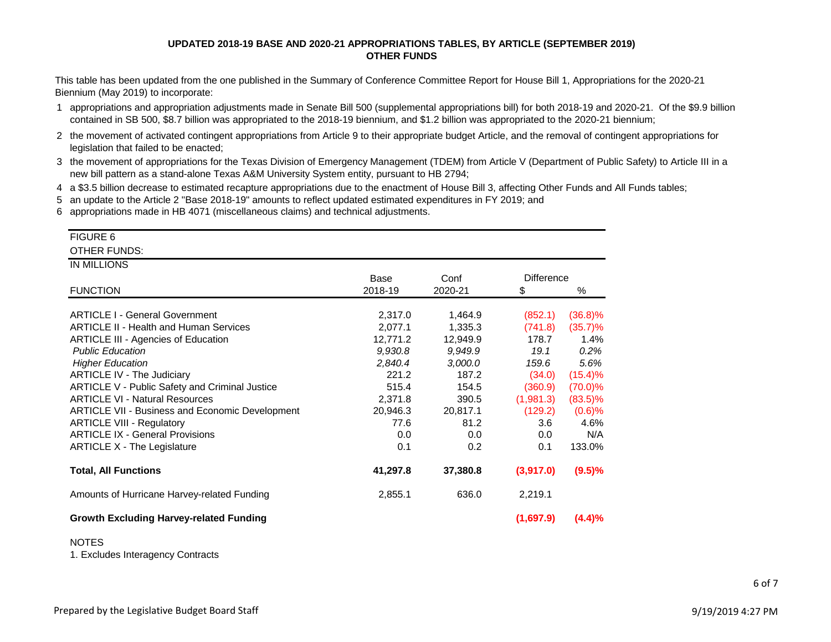## **UPDATED 2018-19 BASE AND 2020-21 APPROPRIATIONS TABLES, BY ARTICLE (SEPTEMBER 2019)OTHER FUNDS**

This table has been updated from the one published in the Summary of Conference Committee Report for House Bill 1, Appropriations for the 2020-21 Biennium (May 2019) to incorporate:

- 2 the movement of activated contingent appropriations from Article 9 to their appropriate budget Article, and the removal of contingent appropriations for legislation that failed to be enacted;
- 3the movement of appropriations for the Texas Division of Emergency Management (TDEM) from Article V (Department of Public Safety) to Article III in a new bill pattern as a stand-alone Texas A&M University System entity, pursuant to HB 2794;
- 4a \$3.5 billion decrease to estimated recapture appropriations due to the enactment of House Bill 3, affecting Other Funds and All Funds tables;

5an update to the Article 2 "Base 2018-19" amounts to reflect updated estimated expenditures in FY 2019; and

6 appropriations made in HB 4071 (miscellaneous claims) and technical adjustments.

| <b>FIGURE 6</b>                                        |          |          |                   |            |
|--------------------------------------------------------|----------|----------|-------------------|------------|
| <b>OTHER FUNDS:</b>                                    |          |          |                   |            |
| IN MILLIONS                                            |          |          |                   |            |
|                                                        | Base     | Conf     | <b>Difference</b> |            |
| <b>FUNCTION</b>                                        | 2018-19  | 2020-21  | \$                | %          |
| <b>ARTICLE I - General Government</b>                  | 2,317.0  | 1,464.9  | (852.1)           | $(36.8)\%$ |
| <b>ARTICLE II - Health and Human Services</b>          | 2,077.1  | 1,335.3  | (741.8)           | $(35.7)\%$ |
| <b>ARTICLE III - Agencies of Education</b>             | 12,771.2 | 12,949.9 | 178.7             | 1.4%       |
| <b>Public Education</b>                                | 9,930.8  | 9,949.9  | 19.1              | 0.2%       |
| <b>Higher Education</b>                                | 2,840.4  | 3,000.0  | 159.6             | 5.6%       |
| <b>ARTICLE IV - The Judiciary</b>                      | 221.2    | 187.2    | (34.0)            | $(15.4)\%$ |
| ARTICLE V - Public Safety and Criminal Justice         | 515.4    | 154.5    | (360.9)           | $(70.0)\%$ |
| <b>ARTICLE VI - Natural Resources</b>                  | 2,371.8  | 390.5    | (1,981.3)         | $(83.5)\%$ |
| <b>ARTICLE VII - Business and Economic Development</b> | 20,946.3 | 20,817.1 | (129.2)           | $(0.6)$ %  |
| <b>ARTICLE VIII - Regulatory</b>                       | 77.6     | 81.2     | 3.6               | 4.6%       |
| <b>ARTICLE IX - General Provisions</b>                 | 0.0      | 0.0      | 0.0               | N/A        |
| <b>ARTICLE X - The Legislature</b>                     | 0.1      | 0.2      | 0.1               | 133.0%     |
| <b>Total, All Functions</b>                            | 41,297.8 | 37,380.8 | (3,917.0)         | (9.5)%     |
| Amounts of Hurricane Harvey-related Funding            | 2,855.1  | 636.0    | 2,219.1           |            |
| <b>Growth Excluding Harvey-related Funding</b>         |          |          | (1,697.9)         | (4.4)%     |

NOTES

1. Excludes Interagency Contracts

<sup>1</sup>appropriations and appropriation adjustments made in Senate Bill 500 (supplemental appropriations bill) for both 2018-19 and 2020-21. Of the \$9.9 billion contained in SB 500, \$8.7 billion was appropriated to the 2018-19 biennium, and \$1.2 billion was appropriated to the 2020-21 biennium;